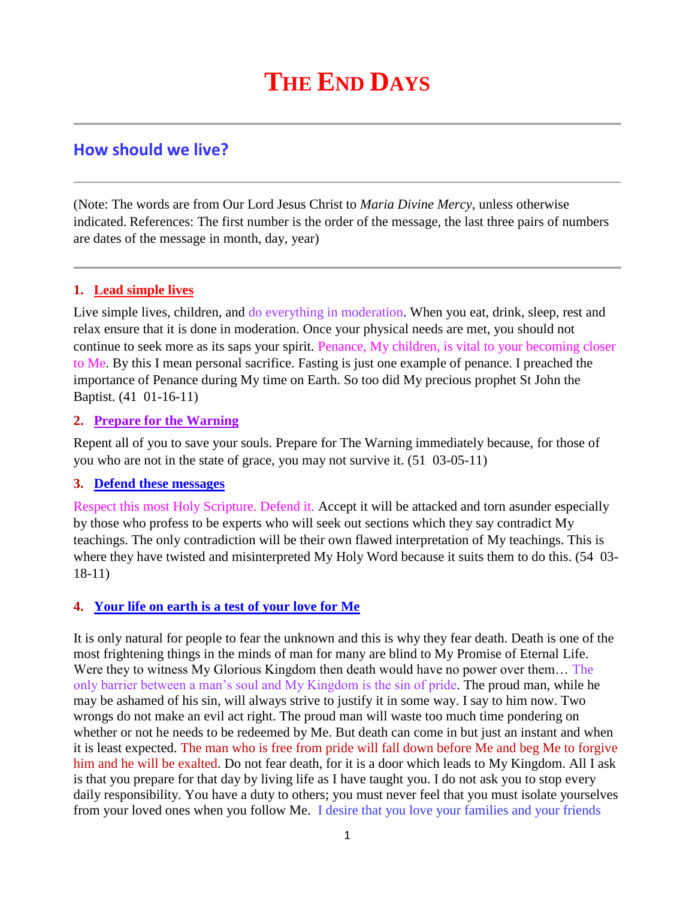# **THE END DAYS**

## **How should we live?**

(Note: The words are from Our Lord Jesus Christ to *Maria Divine Mercy*, unless otherwise indicated. References: The first number is the order of the message, the last three pairs of numbers are dates of the message in month, day, year)

#### **1. Lead simple lives**

Live simple lives, children, and do everything in moderation. When you eat, drink, sleep, rest and relax ensure that it is done in moderation. Once your physical needs are met, you should not continue to seek more as its saps your spirit. Penance, My children, is vital to your becoming closer to Me. By this I mean personal sacrifice. Fasting is just one example of penance. I preached the importance of Penance during My time on Earth. So too did My precious prophet St John the Baptist. (41 01-16-11)

#### **2. Prepare for the Warning**

Repent all of you to save your souls. Prepare for The Warning immediately because, for those of you who are not in the state of grace, you may not survive it. (51 03-05-11)

#### **3. Defend these messages**

Respect this most Holy Scripture. Defend it. Accept it will be attacked and torn asunder especially by those who profess to be experts who will seek out sections which they say contradict My teachings. The only contradiction will be their own flawed interpretation of My teachings. This is where they have twisted and misinterpreted My Holy Word because it suits them to do this. (54 03- 18-11)

#### **4. [Your life on earth is a test of your love for Me](http://www.thewarningsecondcoming.com/your-life-on-earth-is-a-test-of-your-love-for-me/)**

It is only natural for people to fear the unknown and this is why they fear death. Death is one of the most frightening things in the minds of man for many are blind to My Promise of Eternal Life. Were they to witness My Glorious Kingdom then death would have no power over them… The only barrier between a man's soul and My Kingdom is the sin of pride. The proud man, while he may be ashamed of his sin, will always strive to justify it in some way. I say to him now. Two wrongs do not make an evil act right. The proud man will waste too much time pondering on whether or not he needs to be redeemed by Me. But death can come in but just an instant and when it is least expected. The man who is free from pride will fall down before Me and beg Me to forgive him and he will be exalted. Do not fear death, for it is a door which leads to My Kingdom. All I ask is that you prepare for that day by living life as I have taught you. I do not ask you to stop every daily responsibility. You have a duty to others; you must never feel that you must isolate yourselves from your loved ones when you follow Me. I desire that you love your families and your friends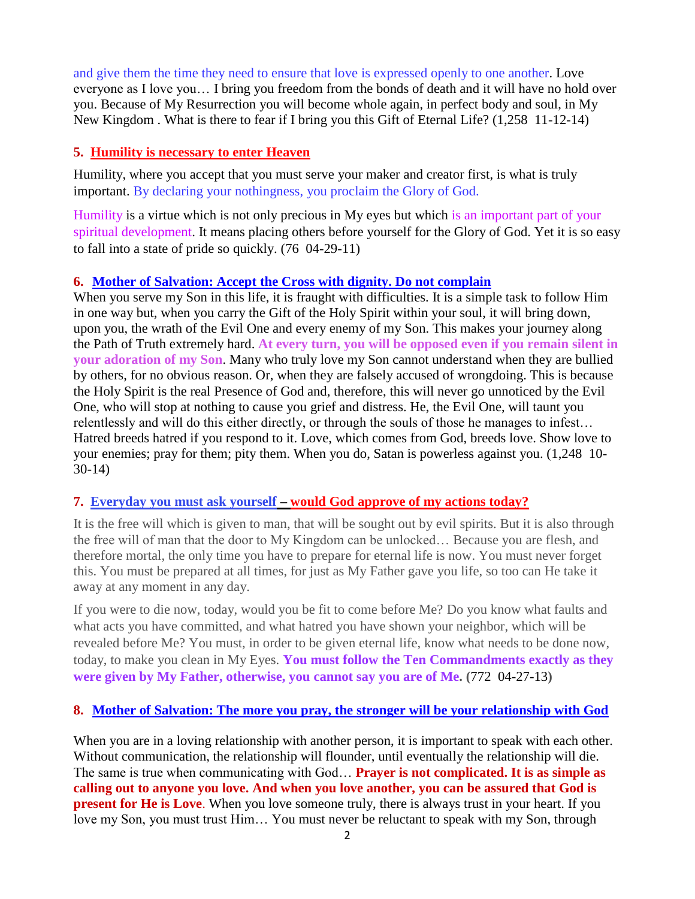and give them the time they need to ensure that love is expressed openly to one another. Love everyone as I love you… I bring you freedom from the bonds of death and it will have no hold over you. Because of My Resurrection you will become whole again, in perfect body and soul, in My New Kingdom . What is there to fear if I bring you this Gift of Eternal Life? (1,258 11-12-14)

#### **5. Humility is necessary to enter Heaven**

Humility, where you accept that you must serve your maker and creator first, is what is truly important. By declaring your nothingness, you proclaim the Glory of God.

Humility is a virtue which is not only precious in My eyes but which is an important part of your spiritual development. It means placing others before yourself for the Glory of God. Yet it is so easy to fall into a state of pride so quickly. (76 04-29-11)

#### **6. [Mother of Salvation: Accept the Cross with dignity. Do not complain](http://www.thewarningsecondcoming.com/mother-of-salvation-accept-the-cross-with-dignity-do-not-complain/)**

When you serve my Son in this life, it is fraught with difficulties. It is a simple task to follow Him in one way but, when you carry the Gift of the Holy Spirit within your soul, it will bring down, upon you, the wrath of the Evil One and every enemy of my Son. This makes your journey along the Path of Truth extremely hard. **At every turn, you will be opposed even if you remain silent in your adoration of my Son**. Many who truly love my Son cannot understand when they are bullied by others, for no obvious reason. Or, when they are falsely accused of wrongdoing. This is because the Holy Spirit is the real Presence of God and, therefore, this will never go unnoticed by the Evil One, who will stop at nothing to cause you grief and distress. He, the Evil One, will taunt you relentlessly and will do this either directly, or through the souls of those he manages to infest… Hatred breeds hatred if you respond to it. Love, which comes from God, breeds love. Show love to your enemies; pray for them; pity them. When you do, Satan is powerless against you. (1,248 10- 30-14)

#### **7. Everyday you must ask yourself – [would God approve of my actions today?](http://www.thewarningsecondcoming.com/every-day-you-must-ask-yourself-would-god-approve-of-my-actions-today/)**

It is the free will which is given to man, that will be sought out by evil spirits. But it is also through the free will of man that the door to My Kingdom can be unlocked… Because you are flesh, and therefore mortal, the only time you have to prepare for eternal life is now. You must never forget this. You must be prepared at all times, for just as My Father gave you life, so too can He take it away at any moment in any day.

If you were to die now, today, would you be fit to come before Me? Do you know what faults and what acts you have committed, and what hatred you have shown your neighbor, which will be revealed before Me? You must, in order to be given eternal life, know what needs to be done now, today, to make you clean in My Eyes. **You must follow the Ten Commandments exactly as they were given by My Father, otherwise, you cannot say you are of Me. (**772 04-27-13**)**

#### **8. [Mother of Salvation: The more you pray, the stronger will be your relationship with God](http://www.thewarningsecondcoming.com/mother-of-salvation-the-more-you-pray-the-stronger-will-be-your-relationship-with-god/)**

When you are in a loving relationship with another person, it is important to speak with each other. Without communication, the relationship will flounder, until eventually the relationship will die. The same is true when communicating with God… **Prayer is not complicated. It is as simple as calling out to anyone you love. And when you love another, you can be assured that God is present for He is Love**. When you love someone truly, there is always trust in your heart. If you love my Son, you must trust Him… You must never be reluctant to speak with my Son, through